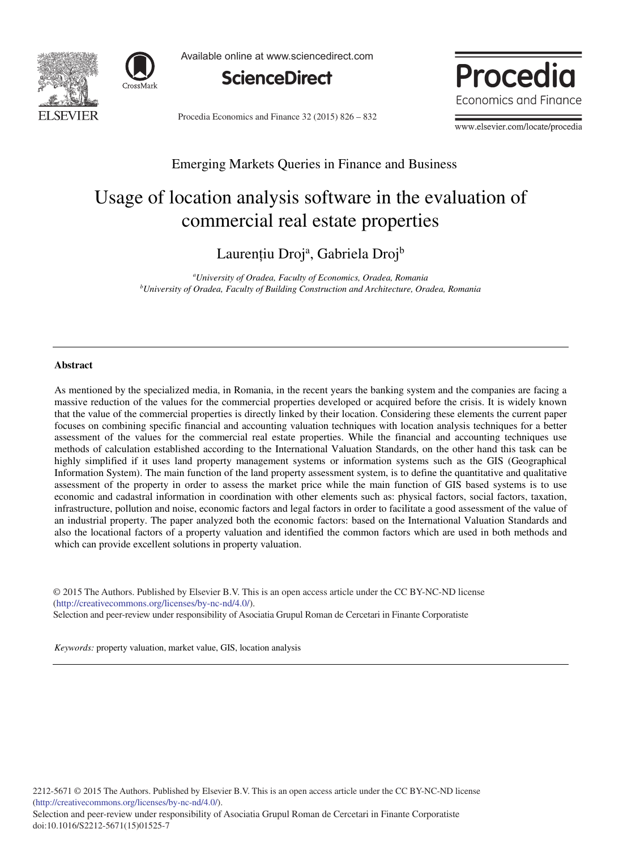



Available online at www.sciencedirect.com



Procedia Economics and Finance 32 (2015) 826 – 832



www.elsevier.com/locate/procedia

## Emerging Markets Queries in Finance and Business

# Usage of location analysis software in the evaluation of commercial real estate properties

Laurențiu Droj<sup>a</sup>, Gabriela Droj<sup>b</sup>

<sup>a</sup> University of Oradea, Faculty of Economics, Oradea, Romania<br><sup>b</sup>University of Oradea, Faculty of Building Construction and Architecture, Ora *University of Oradea, Faculty of Building Construction and Architecture, Oradea, Romania* 

#### **Abstract**

As mentioned by the specialized media, in Romania, in the recent years the banking system and the companies are facing a massive reduction of the values for the commercial properties developed or acquired before the crisis. It is widely known that the value of the commercial properties is directly linked by their location. Considering these elements the current paper focuses on combining specific financial and accounting valuation techniques with location analysis techniques for a better assessment of the values for the commercial real estate properties. While the financial and accounting techniques use methods of calculation established according to the International Valuation Standards, on the other hand this task can be highly simplified if it uses land property management systems or information systems such as the GIS (Geographical Information System). The main function of the land property assessment system, is to define the quantitative and qualitative assessment of the property in order to assess the market price while the main function of GIS based systems is to use economic and cadastral information in coordination with other elements such as: physical factors, social factors, taxation, infrastructure, pollution and noise, economic factors and legal factors in order to facilitate a good assessment of the value of an industrial property. The paper analyzed both the economic factors: based on the International Valuation Standards and also the locational factors of a property valuation and identified the common factors which are used in both methods and which can provide excellent solutions in property valuation.

© 2015 The Authors. Published by Elsevier B.V. This is an open access article under the CC BY-NC-ND license unty determined and percent review under responsibility of Association Cemeral Roman de Corporation and book review under responsibility of Association Cemeral Roman de Corporations in Finance and Business locality in Fina Selection and peer-review under responsibility of Asociatia Grupul Roman de Cercetari in Finante Corporatiste (http://creativecommons.org/licenses/by-nc-nd/4.0/).

*Keywords:* property valuation, market value, GIS, location analysis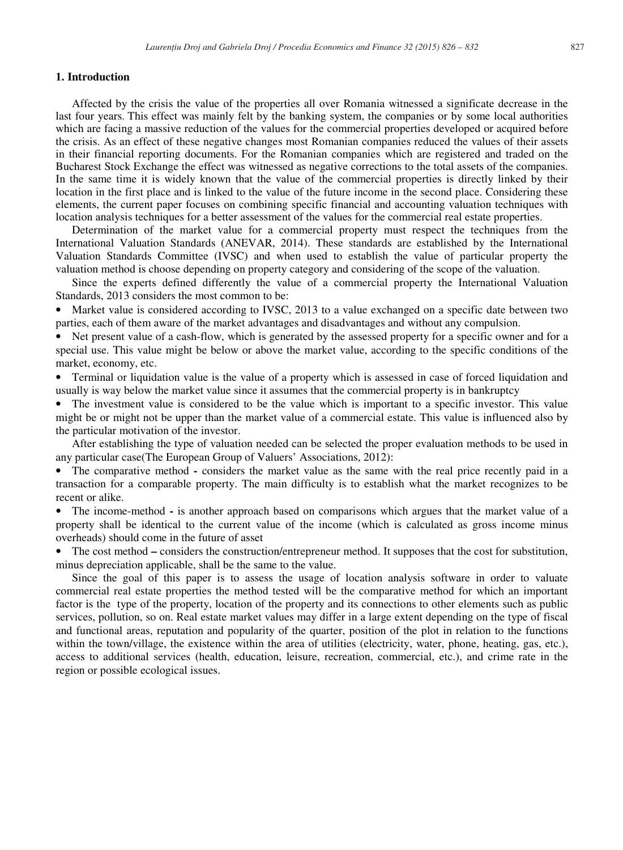#### **1. Introduction**

Affected by the crisis the value of the properties all over Romania witnessed a significate decrease in the last four years. This effect was mainly felt by the banking system, the companies or by some local authorities which are facing a massive reduction of the values for the commercial properties developed or acquired before the crisis. As an effect of these negative changes most Romanian companies reduced the values of their assets in their financial reporting documents. For the Romanian companies which are registered and traded on the Bucharest Stock Exchange the effect was witnessed as negative corrections to the total assets of the companies. In the same time it is widely known that the value of the commercial properties is directly linked by their location in the first place and is linked to the value of the future income in the second place. Considering these elements, the current paper focuses on combining specific financial and accounting valuation techniques with location analysis techniques for a better assessment of the values for the commercial real estate properties.

Determination of the market value for a commercial property must respect the techniques from the International Valuation Standards (ANEVAR, 2014). These standards are established by the International Valuation Standards Committee (IVSC) and when used to establish the value of particular property the valuation method is choose depending on property category and considering of the scope of the valuation.

Since the experts defined differently the value of a commercial property the International Valuation Standards, 2013 considers the most common to be:

Market value is considered according to IVSC, 2013 to a value exchanged on a specific date between two parties, each of them aware of the market advantages and disadvantages and without any compulsion.

• Net present value of a cash-flow, which is generated by the assessed property for a specific owner and for a special use. This value might be below or above the market value, according to the specific conditions of the market, economy, etc.

• Terminal or liquidation value is the value of a property which is assessed in case of forced liquidation and usually is way below the market value since it assumes that the commercial property is in bankruptcy

• The investment value is considered to be the value which is important to a specific investor. This value might be or might not be upper than the market value of a commercial estate. This value is influenced also by the particular motivation of the investor.

After establishing the type of valuation needed can be selected the proper evaluation methods to be used in any particular case(The European Group of Valuers' Associations, 2012):

• The comparative method **-** considers the market value as the same with the real price recently paid in a transaction for a comparable property. The main difficulty is to establish what the market recognizes to be recent or alike.

• The income-method **-** is another approach based on comparisons which argues that the market value of a property shall be identical to the current value of the income (which is calculated as gross income minus overheads) should come in the future of asset

• The cost method **–** considers the construction/entrepreneur method. It supposes that the cost for substitution, minus depreciation applicable, shall be the same to the value.

Since the goal of this paper is to assess the usage of location analysis software in order to valuate commercial real estate properties the method tested will be the comparative method for which an important factor is the type of the property, location of the property and its connections to other elements such as public services, pollution, so on. Real estate market values may differ in a large extent depending on the type of fiscal and functional areas, reputation and popularity of the quarter, position of the plot in relation to the functions within the town/village, the existence within the area of utilities (electricity, water, phone, heating, gas, etc.), access to additional services (health, education, leisure, recreation, commercial, etc.), and crime rate in the region or possible ecological issues.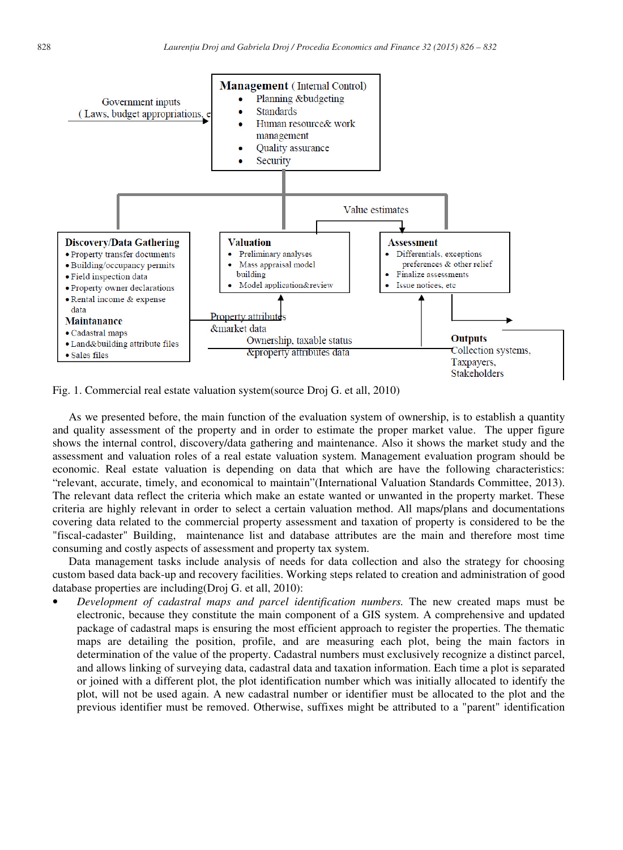

Fig. 1. Commercial real estate valuation system(source Droj G. et all, 2010)

As we presented before, the main function of the evaluation system of ownership, is to establish a quantity and quality assessment of the property and in order to estimate the proper market value. The upper figure shows the internal control, discovery/data gathering and maintenance. Also it shows the market study and the assessment and valuation roles of a real estate valuation system. Management evaluation program should be economic. Real estate valuation is depending on data that which are have the following characteristics: "relevant, accurate, timely, and economical to maintain"(International Valuation Standards Committee, 2013). The relevant data reflect the criteria which make an estate wanted or unwanted in the property market. These criteria are highly relevant in order to select a certain valuation method. All maps/plans and documentations covering data related to the commercial property assessment and taxation of property is considered to be the "fiscal-cadaster" Building, maintenance list and database attributes are the main and therefore most time consuming and costly aspects of assessment and property tax system.

Data management tasks include analysis of needs for data collection and also the strategy for choosing custom based data back-up and recovery facilities. Working steps related to creation and administration of good database properties are including(Droj G. et all, 2010):

• *Development of cadastral maps and parcel identification numbers.* The new created maps must be electronic, because they constitute the main component of a GIS system. A comprehensive and updated package of cadastral maps is ensuring the most efficient approach to register the properties. The thematic maps are detailing the position, profile, and are measuring each plot, being the main factors in determination of the value of the property. Cadastral numbers must exclusively recognize a distinct parcel, and allows linking of surveying data, cadastral data and taxation information. Each time a plot is separated or joined with a different plot, the plot identification number which was initially allocated to identify the plot, will not be used again. A new cadastral number or identifier must be allocated to the plot and the previous identifier must be removed. Otherwise, suffixes might be attributed to a "parent" identification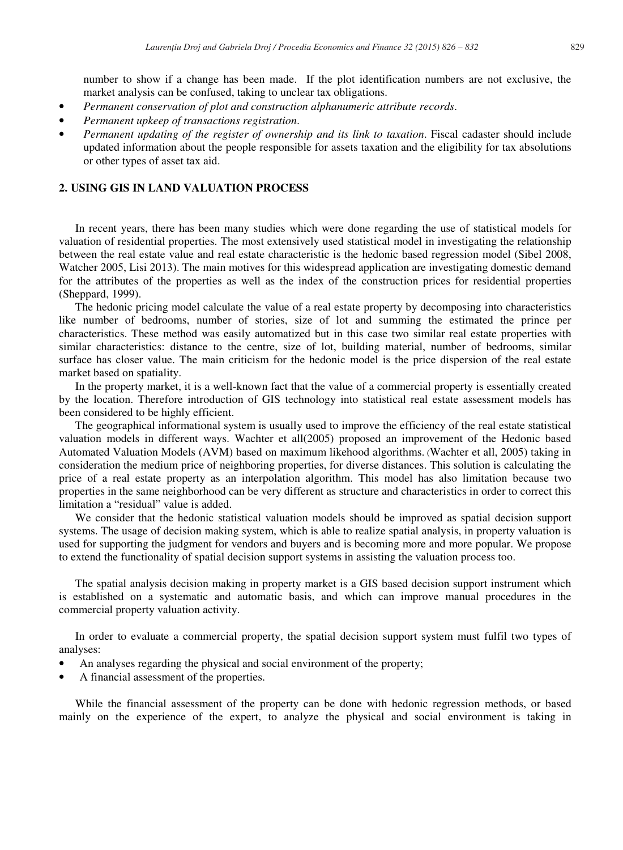number to show if a change has been made. If the plot identification numbers are not exclusive, the market analysis can be confused, taking to unclear tax obligations.

- *Permanent conservation of plot and construction alphanumeric attribute records*.
- *Permanent upkeep of transactions registration*.
- *Permanent updating of the register of ownership and its link to taxation*. Fiscal cadaster should include updated information about the people responsible for assets taxation and the eligibility for tax absolutions or other types of asset tax aid.

### **2. USING GIS IN LAND VALUATION PROCESS**

In recent years, there has been many studies which were done regarding the use of statistical models for valuation of residential properties. The most extensively used statistical model in investigating the relationship between the real estate value and real estate characteristic is the hedonic based regression model (Sibel 2008, Watcher 2005, Lisi 2013). The main motives for this widespread application are investigating domestic demand for the attributes of the properties as well as the index of the construction prices for residential properties (Sheppard, 1999).

The hedonic pricing model calculate the value of a real estate property by decomposing into characteristics like number of bedrooms, number of stories, size of lot and summing the estimated the prince per characteristics. These method was easily automatized but in this case two similar real estate properties with similar characteristics: distance to the centre, size of lot, building material, number of bedrooms, similar surface has closer value. The main criticism for the hedonic model is the price dispersion of the real estate market based on spatiality.

In the property market, it is a well-known fact that the value of a commercial property is essentially created by the location. Therefore introduction of GIS technology into statistical real estate assessment models has been considered to be highly efficient.

The geographical informational system is usually used to improve the efficiency of the real estate statistical valuation models in different ways. Wachter et all(2005) proposed an improvement of the Hedonic based Automated Valuation Models (AVM) based on maximum likehood algorithms. (Wachter et all, 2005) taking in consideration the medium price of neighboring properties, for diverse distances. This solution is calculating the price of a real estate property as an interpolation algorithm. This model has also limitation because two properties in the same neighborhood can be very different as structure and characteristics in order to correct this limitation a "residual" value is added.

We consider that the hedonic statistical valuation models should be improved as spatial decision support systems. The usage of decision making system, which is able to realize spatial analysis, in property valuation is used for supporting the judgment for vendors and buyers and is becoming more and more popular. We propose to extend the functionality of spatial decision support systems in assisting the valuation process too.

The spatial analysis decision making in property market is a GIS based decision support instrument which is established on a systematic and automatic basis, and which can improve manual procedures in the commercial property valuation activity.

In order to evaluate a commercial property, the spatial decision support system must fulfil two types of analyses:

- An analyses regarding the physical and social environment of the property;
- A financial assessment of the properties.

While the financial assessment of the property can be done with hedonic regression methods, or based mainly on the experience of the expert, to analyze the physical and social environment is taking in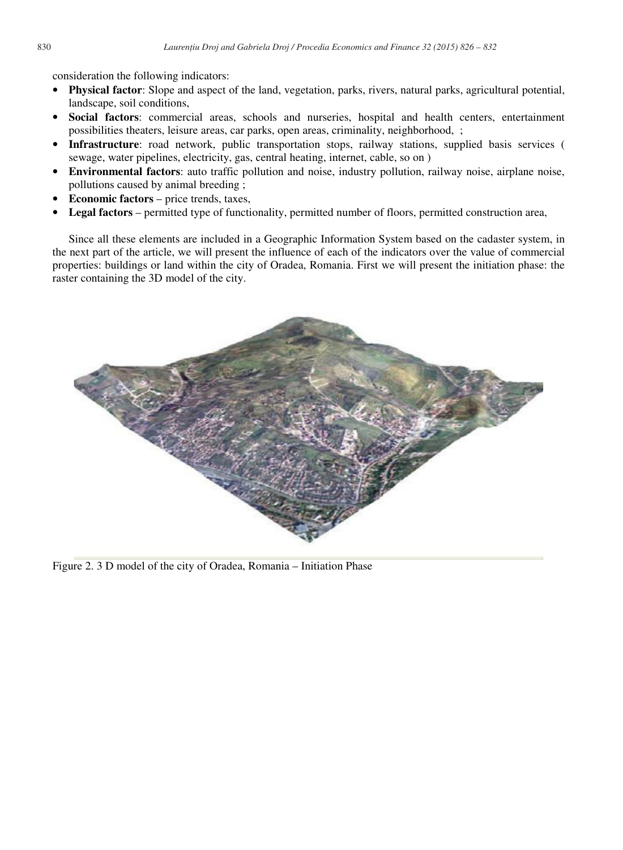consideration the following indicators:

- **Physical factor**: Slope and aspect of the land, vegetation, parks, rivers, natural parks, agricultural potential, landscape, soil conditions,
- **Social factors**: commercial areas, schools and nurseries, hospital and health centers, entertainment possibilities theaters, leisure areas, car parks, open areas, criminality, neighborhood, ;
- **Infrastructure**: road network, public transportation stops, railway stations, supplied basis services ( sewage, water pipelines, electricity, gas, central heating, internet, cable, so on )
- **Environmental factors**: auto traffic pollution and noise, industry pollution, railway noise, airplane noise, pollutions caused by animal breeding ;
- **Economic factors** price trends, taxes,
- **Legal factors** permitted type of functionality, permitted number of floors, permitted construction area,

Since all these elements are included in a Geographic Information System based on the cadaster system, in the next part of the article, we will present the influence of each of the indicators over the value of commercial properties: buildings or land within the city of Oradea, Romania. First we will present the initiation phase: the raster containing the 3D model of the city.



Figure 2. 3 D model of the city of Oradea, Romania – Initiation Phase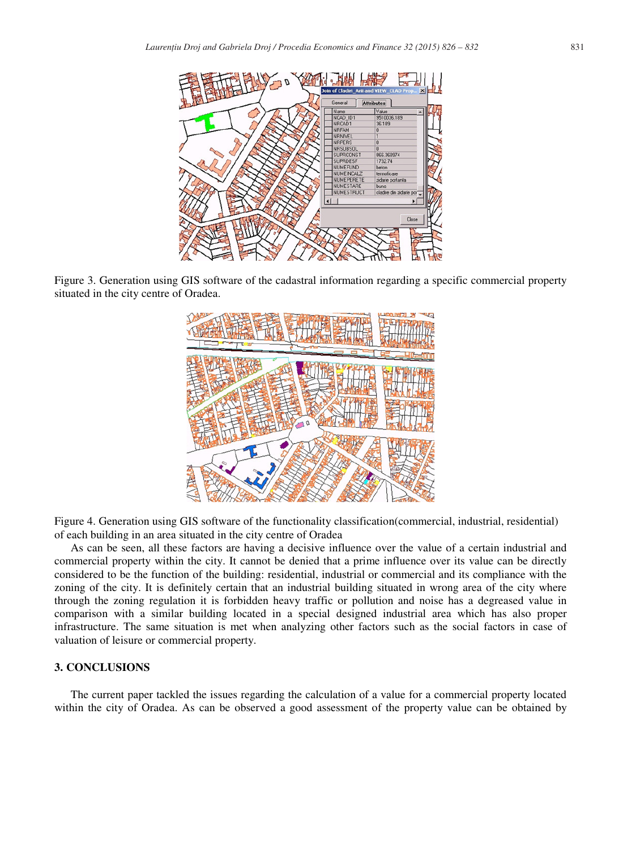

Figure 3. Generation using GIS software of the cadastral information regarding a specific commercial property situated in the city centre of Oradea.



Figure 4. Generation using GIS software of the functionality classification(commercial, industrial, residential) of each building in an area situated in the city centre of Oradea

As can be seen, all these factors are having a decisive influence over the value of a certain industrial and commercial property within the city. It cannot be denied that a prime influence over its value can be directly considered to be the function of the building: residential, industrial or commercial and its compliance with the zoning of the city. It is definitely certain that an industrial building situated in wrong area of the city where through the zoning regulation it is forbidden heavy traffic or pollution and noise has a degreased value in comparison with a similar building located in a special designed industrial area which has also proper infrastructure. The same situation is met when analyzing other factors such as the social factors in case of valuation of leisure or commercial property.

#### **3. CONCLUSIONS**

The current paper tackled the issues regarding the calculation of a value for a commercial property located within the city of Oradea. As can be observed a good assessment of the property value can be obtained by